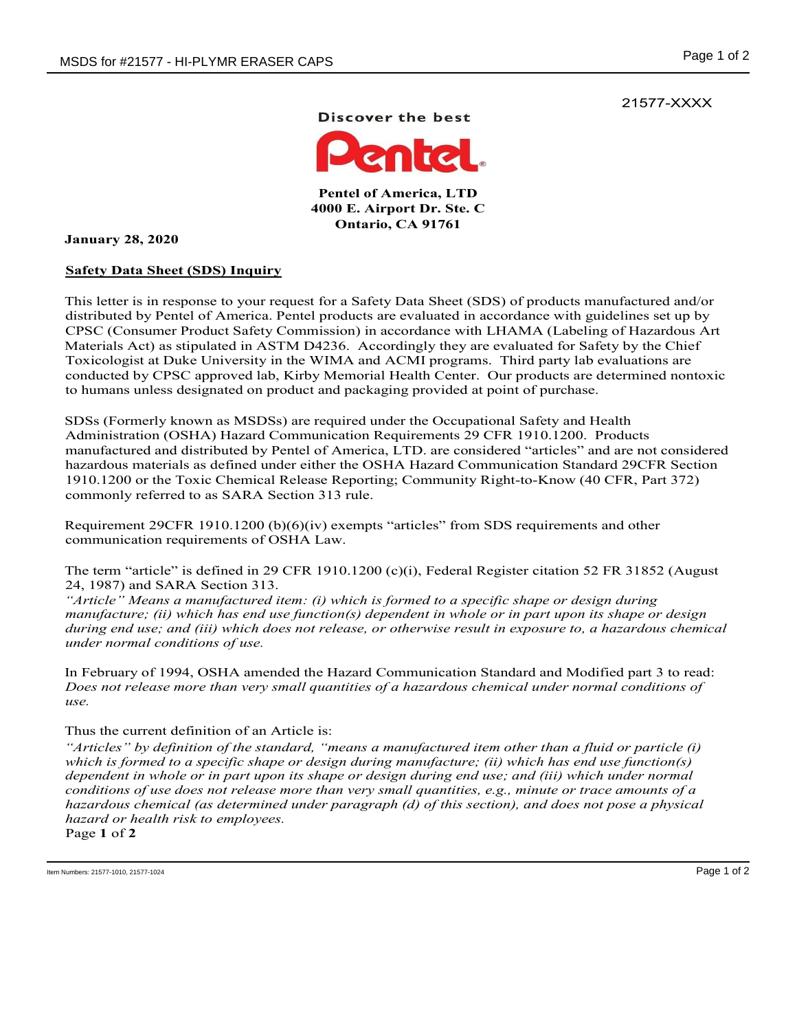21577-XXXX

Discover the best



Pentel of America, LTD 4000 E. Airport Dr. Ste. C Ontario, CA 91761

January 28, 2020

## Safety Data Sheet (SDS) Inquiry

This letter is in response to your request for a Safety Data Sheet (SDS) of products manufactured and/or distributed by Pentel of America. Pentel products are evaluated in accordance with guidelines set up by CPSC (Consumer Product Safety Commission) in accordance with LHAMA (Labeling of Hazardous Art Materials Act) as stipulated in ASTM D4236. Accordingly they are evaluated for Safety by the Chief Toxicologist at Duke University in the WIMA and ACMI programs. Third party lab evaluations are conducted by CPSC approved lab, Kirby Memorial Health Center. Our products are determined nontoxic to humans unless designated on product and packaging provided at point of purchase.

SDSs (Formerly known as MSDSs) are required under the Occupational Safety and Health Administration (OSHA) Hazard Communication Requirements 29 CFR 1910.1200. Products manufactured and distributed by Pentel of America, LTD. are considered "articles" and are not considered hazardous materials as defined under either the OSHA Hazard Communication Standard 29CFR Section 1910.1200 or the Toxic Chemical Release Reporting; Community Right-to-Know (40 CFR, Part 372) commonly referred to as SARA Section 313 rule.

Requirement 29CFR 1910.1200 (b)(6)(iv) exempts "articles" from SDS requirements and other communication requirements of OSHA Law.

The term "article" is defined in 29 CFR 1910.1200 (c)(i), Federal Register citation 52 FR 31852 (August 24, 1987) and SARA Section 313.

"Article" Means a manufactured item: (i) which is formed to a specific shape or design during manufacture; (ii) which has end use function(s) dependent in whole or in part upon its shape or design during end use; and (iii) which does not release, or otherwise result in exposure to, a hazardous chemical under normal conditions of use.

In February of 1994, OSHA amended the Hazard Communication Standard and Modified part 3 to read: Does not release more than very small quantities of a hazardous chemical under normal conditions of use.

## Thus the current definition of an Article is:

"Articles" by definition of the standard, "means a manufactured item other than a fluid or particle (i) which is formed to a specific shape or design during manufacture; (ii) which has end use function(s) dependent in whole or in part upon its shape or design during end use; and (iii) which under normal conditions of use does not release more than very small quantities, e.g., minute or trace amounts of a hazardous chemical (as determined under paragraph (d) of this section), and does not pose a physical hazard or health risk to employees. Page 1 of 2